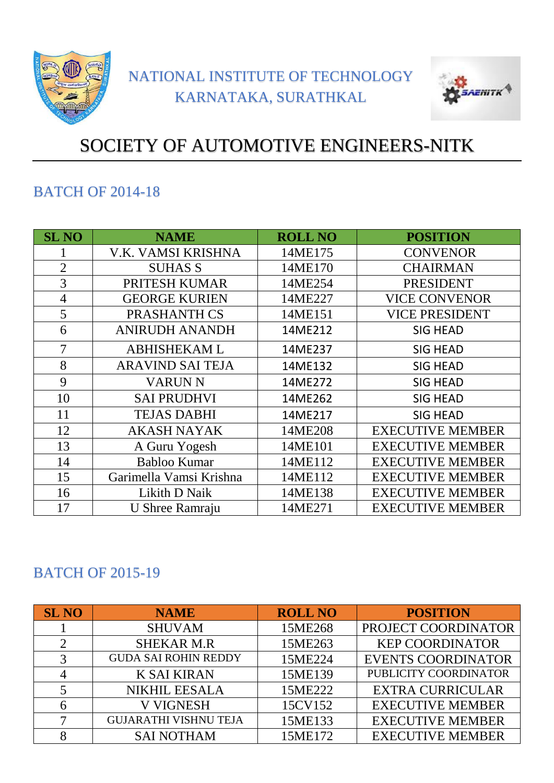



## SOCIETY OF AUTOMOTIVE ENGINEERS-NITK

## BATCH OF 2014-18

| <b>SL NO</b>   | <b>NAME</b>             | <b>ROLL NO</b> | <b>POSITION</b>         |
|----------------|-------------------------|----------------|-------------------------|
|                | V.K. VAMSI KRISHNA      | 14ME175        | <b>CONVENOR</b>         |
| $\overline{2}$ | <b>SUHAS S</b>          | 14ME170        | <b>CHAIRMAN</b>         |
| 3              | PRITESH KUMAR           | 14ME254        | <b>PRESIDENT</b>        |
| $\overline{4}$ | <b>GEORGE KURIEN</b>    | 14ME227        | <b>VICE CONVENOR</b>    |
| 5              | PRASHANTH CS            | 14ME151        | <b>VICE PRESIDENT</b>   |
| 6              | <b>ANIRUDH ANANDH</b>   | 14ME212        | <b>SIG HEAD</b>         |
| $\overline{7}$ | <b>ABHISHEKAM L</b>     | 14ME237        | <b>SIG HEAD</b>         |
| 8              | <b>ARAVIND SAI TEJA</b> | 14ME132        | <b>SIG HEAD</b>         |
| 9              | <b>VARUN N</b>          | 14ME272        | <b>SIG HEAD</b>         |
| 10             | <b>SAI PRUDHVI</b>      | 14ME262        | <b>SIG HEAD</b>         |
| 11             | <b>TEJAS DABHI</b>      | 14ME217        | <b>SIG HEAD</b>         |
| 12             | <b>AKASH NAYAK</b>      | 14ME208        | <b>EXECUTIVE MEMBER</b> |
| 13             | A Guru Yogesh           | 14ME101        | <b>EXECUTIVE MEMBER</b> |
| 14             | <b>Babloo Kumar</b>     | 14ME112        | <b>EXECUTIVE MEMBER</b> |
| 15             | Garimella Vamsi Krishna | 14ME112        | <b>EXECUTIVE MEMBER</b> |
| 16             | Likith D Naik           | 14ME138        | <b>EXECUTIVE MEMBER</b> |
| 17             | <b>U Shree Ramraju</b>  | 14ME271        | <b>EXECUTIVE MEMBER</b> |

## BATCH OF 2015-19

| <b>SL NO</b> | <b>NAME</b>                  | <b>ROLL NO</b> | <b>POSITION</b>           |
|--------------|------------------------------|----------------|---------------------------|
|              | <b>SHUVAM</b>                | 15ME268        | PROJECT COORDINATOR       |
|              | <b>SHEKAR M.R</b>            | 15ME263        | <b>KEP COORDINATOR</b>    |
| 3            | <b>GUDA SAI ROHIN REDDY</b>  | 15ME224        | <b>EVENTS COORDINATOR</b> |
| 4            | <b>K SAI KIRAN</b>           | 15ME139        | PUBLICITY COORDINATOR     |
|              | <b>NIKHIL EESALA</b>         | 15ME222        | <b>EXTRA CURRICULAR</b>   |
| 6            | <b>V VIGNESH</b>             | 15CV152        | <b>EXECUTIVE MEMBER</b>   |
|              | <b>GUJARATHI VISHNU TEJA</b> | 15ME133        | <b>EXECUTIVE MEMBER</b>   |
| 8            | <b>SAI NOTHAM</b>            | 15ME172        | <b>EXECUTIVE MEMBER</b>   |